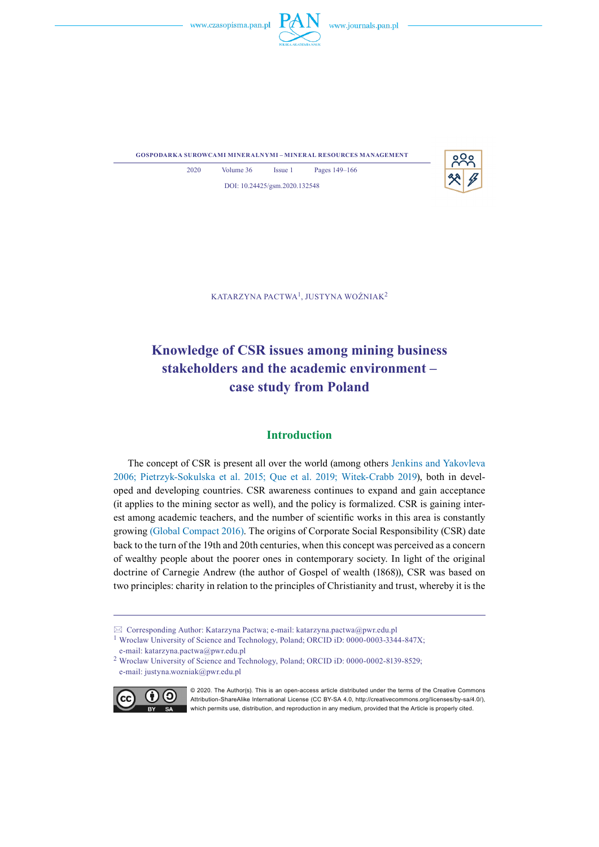



**gospodarka surowcami mineralnymi – mineral resources management**



2020 Volume 36 Issue 1 Pages 149–166 DOI: 10.24425/gsm.2020.132548

Katarzyna Pactwa1, Justyna Woźniak<sup>2</sup>

# **Knowledge of CSR issues among mining business stakeholders and the academic environment – case study from Poland**

# **Introduction**

The concept of CSR is present all over the world (among others Jenkins and Yakovleva 2006; Pietrzyk-Sokulska et al. 2015; Que et al. 2019; Witek-Crabb 2019), both in developed and developing countries. CSR awareness continues to expand and gain acceptance (it applies to the mining sector as well), and the policy is formalized. CSR is gaining interest among academic teachers, and the number of scientific works in this area is constantly growing (Global Compact 2016). The origins of Corporate Social Responsibility (CSR) date back to the turn of the 19th and 20th centuries, when this concept was perceived as a concern of wealthy people about the poorer ones in contemporary society. In light of the original doctrine of Carnegie Andrew (the author of Gospel of wealth (1868)), CSR was based on two principles: charity in relation to the principles of Christianity and trust, whereby it is the

 $\boxtimes$  Corresponding Author: Katarzyna Pactwa; e-mail: katarzyna.pactwa@pwr.edu.pl

<sup>2</sup> Wroclaw University of Science and Technology, Poland; ORCID iD: 0000-0002-8139-8529; e-mail: justyna.wozniak@pwr.edu.pl



© 2020. The Author(s). This is an open-access article distributed under the terms of the Creative Commons Attribution-ShareAlike International License (CC BY-SA 4.0, http://creativecommons.org/licenses/by-sa/4.0/), which permits use, distribution, and reproduction in any medium, provided that the Article is properly cited.

<sup>1</sup> Wroclaw University of Science and Technology, Poland; ORCID iD: 0000-0003-3344-847X; e-mail: katarzyna.pactwa@pwr.edu.pl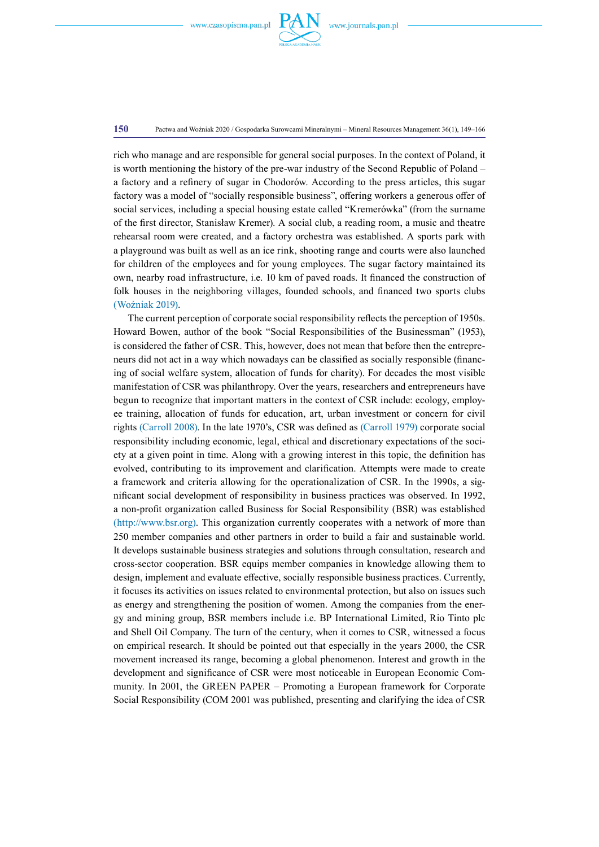

**150** Pactwa and Woźniak 2020 / Gospodarka Surowcami Mineralnymi – Mineral Resources Management 36(1), 149–166

rich who manage and are responsible for general social purposes. In the context of Poland, it is worth mentioning the history of the pre-war industry of the Second Republic of Poland – a factory and a refinery of sugar in Chodorów. According to the press articles, this sugar factory was a model of "socially responsible business", offering workers a generous offer of social services, including a special housing estate called "Kremerówka" (from the surname of the first director, Stanisław Kremer). A social club, a reading room, a music and theatre rehearsal room were created, and a factory orchestra was established. A sports park with a playground was built as well as an ice rink, shooting range and courts were also launched for children of the employees and for young employees. The sugar factory maintained its own, nearby road infrastructure, i.e. 10 km of paved roads. It financed the construction of folk houses in the neighboring villages, founded schools, and financed two sports clubs (Woźniak 2019).

The current perception of corporate social responsibility reflects the perception of 1950s. Howard Bowen, author of the book "Social Responsibilities of the Businessman" (1953), is considered the father of CSR. This, however, does not mean that before then the entrepreneurs did not act in a way which nowadays can be classified as socially responsible (financing of social welfare system, allocation of funds for charity). For decades the most visible manifestation of CSR was philanthropy. Over the years, researchers and entrepreneurs have begun to recognize that important matters in the context of CSR include: ecology, employee training, allocation of funds for education, art, urban investment or concern for civil rights (Carroll 2008). In the late 1970's, CSR was defined as (Carroll 1979) corporate social responsibility including economic, legal, ethical and discretionary expectations of the society at a given point in time. Along with a growing interest in this topic, the definition has evolved, contributing to its improvement and clarification. Attempts were made to create a framework and criteria allowing for the operationalization of CSR. In the 1990s, a significant social development of responsibility in business practices was observed. In 1992, a non-profit organization called Business for Social Responsibility (BSR) was established (http://www.bsr.org). This organization currently cooperates with a network of more than 250 member companies and other partners in order to build a fair and sustainable world. It develops sustainable business strategies and solutions through consultation, research and cross-sector cooperation. BSR equips member companies in knowledge allowing them to design, implement and evaluate effective, socially responsible business practices. Currently, it focuses its activities on issues related to environmental protection, but also on issues such as energy and strengthening the position of women. Among the companies from the energy and mining group, BSR members include i.e. BP International Limited, Rio Tinto plc and Shell Oil Company. The turn of the century, when it comes to CSR, witnessed a focus on empirical research. It should be pointed out that especially in the years 2000, the CSR movement increased its range, becoming a global phenomenon. Interest and growth in the development and significance of CSR were most noticeable in European Economic Community. In 2001, the GREEN PAPER – Promoting a European framework for Corporate Social Responsibility (COM 2001 was published, presenting and clarifying the idea of CSR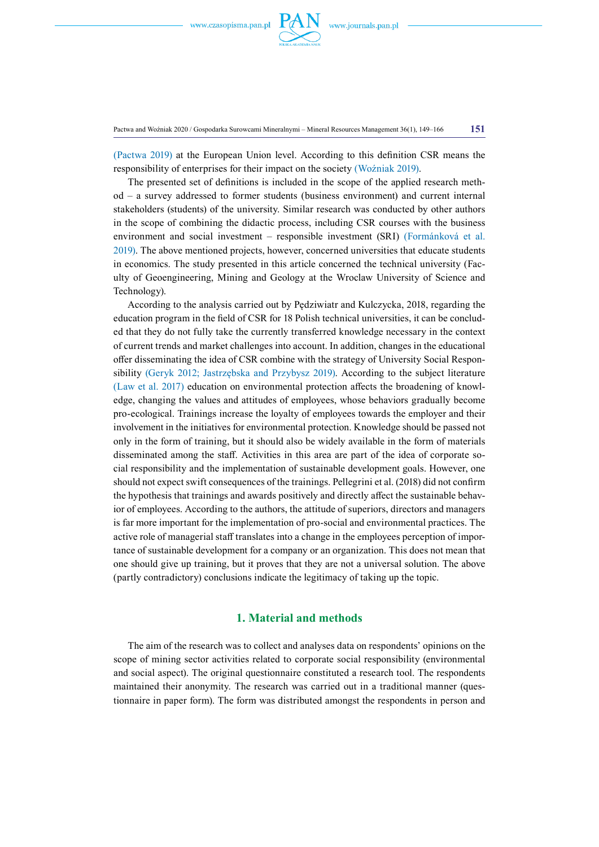

Pactwa and Woźniak 2020 / Gospodarka Surowcami Mineralnymi – Mineral Resources Management 36(1), 149–166 **151**

(Pactwa 2019) at the European Union level. According to this definition CSR means the responsibility of enterprises for their impact on the society (Woźniak 2019).

The presented set of definitions is included in the scope of the applied research method – a survey addressed to former students (business environment) and current internal stakeholders (students) of the university. Similar research was conducted by other authors in the scope of combining the didactic process, including CSR courses with the business environment and social investment – responsible investment (SRI) (Formánková et al. 2019). The above mentioned projects, however, concerned universities that educate students in economics. The study presented in this article concerned the technical university (Faculty of Geoengineering, Mining and Geology at the Wroclaw University of Science and Technology).

According to the analysis carried out by Pędziwiatr and Kulczycka, 2018, regarding the education program in the field of CSR for 18 Polish technical universities, it can be concluded that they do not fully take the currently transferred knowledge necessary in the context of current trends and market challenges into account. In addition, changes in the educational offer disseminating the idea of CSR combine with the strategy of University Social Responsibility (Geryk 2012; Jastrzębska and Przybysz 2019). According to the subject literature (Law et al. 2017) education on environmental protection affects the broadening of knowledge, changing the values and attitudes of employees, whose behaviors gradually become pro-ecological. Trainings increase the loyalty of employees towards the employer and their involvement in the initiatives for environmental protection. Knowledge should be passed not only in the form of training, but it should also be widely available in the form of materials disseminated among the staff. Activities in this area are part of the idea of corporate social responsibility and the implementation of sustainable development goals. However, one should not expect swift consequences of the trainings. Pellegrini et al. (2018) did not confirm the hypothesis that trainings and awards positively and directly affect the sustainable behavior of employees. According to the authors, the attitude of superiors, directors and managers is far more important for the implementation of pro-social and environmental practices. The active role of managerial staff translates into a change in the employees perception of importance of sustainable development for a company or an organization. This does not mean that one should give up training, but it proves that they are not a universal solution. The above (partly contradictory) conclusions indicate the legitimacy of taking up the topic.

# **1. Material and methods**

The aim of the research was to collect and analyses data on respondents' opinions on the scope of mining sector activities related to corporate social responsibility (environmental and social aspect). The original questionnaire constituted a research tool. The respondents maintained their anonymity. The research was carried out in a traditional manner (questionnaire in paper form). The form was distributed amongst the respondents in person and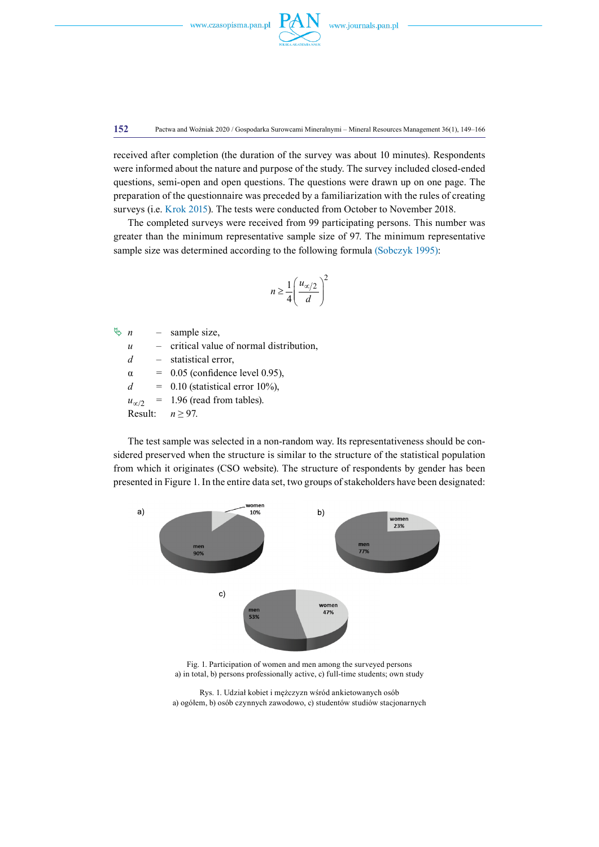

**152** Pactwa and Woźniak 2020 / Gospodarka Surowcami Mineralnymi – Mineral Resources Management 36(1), 149–166

received after completion (the duration of the survey was about 10 minutes). Respondents were informed about the nature and purpose of the study. The survey included closed-ended questions, semi-open and open questions. The questions were drawn up on one page. The preparation of the questionnaire was preceded by a familiarization with the rules of creating surveys (i.e. Krok 2015). The tests were conducted from October to November 2018.

The completed surveys were received from 99 participating persons. This number was greater than the minimum representative sample size of 97. The minimum representative sample size was determined according to the following formula (Sobczyk 1995):

$$
n \ge \frac{1}{4} \left( \frac{u_{\infty/2}}{d} \right)^2
$$

 $\uparrow$  *n* – sample size,

*u* – critical value of normal distribution,

*d* – statistical error,

 $\alpha$  = 0.05 (confidence level 0.95),

 $d = 0.10$  (statistical error 10%),

 $u_{\infty/2}$  = 1.96 (read from tables).

Result: *n* ≥ 97.

The test sample was selected in a non-random way. Its representativeness should be considered preserved when the structure is similar to the structure of the statistical population from which it originates (CSO website). The structure of respondents by gender has been presented in Figure 1. In the entire data set, two groups of stakeholders have been designated:



Fig. 1. Participation of women and men among the surveyed persons a) in total, b) persons professionally active, c) full-time students; own study

Rys. 1. Udział kobiet i mężczyzn wśród ankietowanych osób a) ogółem, b) osób czynnych zawodowo, c) studentów studiów stacjonarnych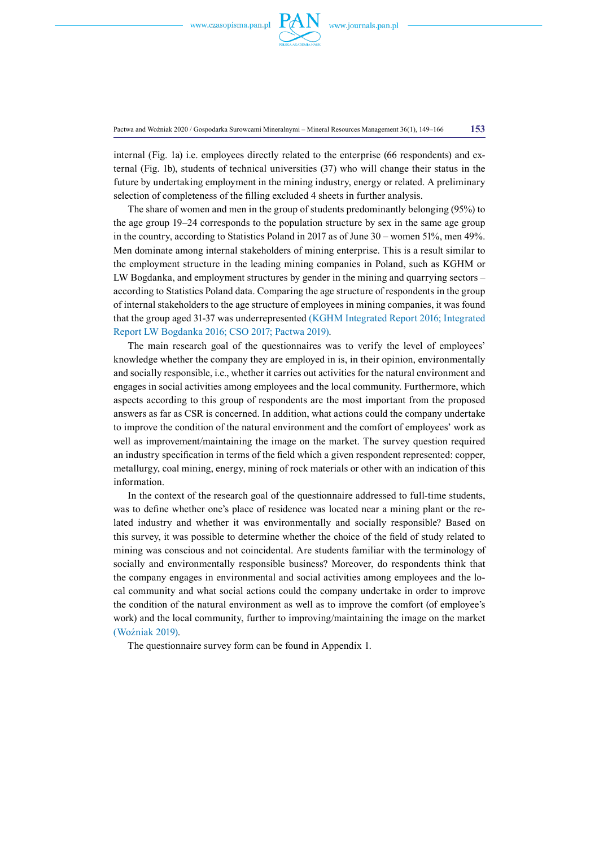

Pactwa and Woźniak 2020 / Gospodarka Surowcami Mineralnymi – Mineral Resources Management 36(1), 149–166 **153**

internal (Fig. 1a) i.e. employees directly related to the enterprise (66 respondents) and external (Fig. 1b), students of technical universities (37) who will change their status in the future by undertaking employment in the mining industry, energy or related. A preliminary selection of completeness of the filling excluded 4 sheets in further analysis.

The share of women and men in the group of students predominantly belonging (95%) to the age group 19–24 corresponds to the population structure by sex in the same age group in the country, according to Statistics Poland in 2017 as of June 30 – women 51%, men 49%. Men dominate among internal stakeholders of mining enterprise. This is a result similar to the employment structure in the leading mining companies in Poland, such as KGHM or LW Bogdanka, and employment structures by gender in the mining and quarrying sectors – according to Statistics Poland data. Comparing the age structure of respondents in the group of internal stakeholders to the age structure of employees in mining companies, it was found that the group aged 31-37 was underrepresented (KGHM Integrated Report 2016; Integrated Report LW Bogdanka 2016; CSO 2017; Pactwa 2019).

The main research goal of the questionnaires was to verify the level of employees' knowledge whether the company they are employed in is, in their opinion, environmentally and socially responsible, i.e., whether it carries out activities for the natural environment and engages in social activities among employees and the local community. Furthermore, which aspects according to this group of respondents are the most important from the proposed answers as far as CSR is concerned. In addition, what actions could the company undertake to improve the condition of the natural environment and the comfort of employees' work as well as improvement/maintaining the image on the market. The survey question required an industry specification in terms of the field which a given respondent represented: copper, metallurgy, coal mining, energy, mining of rock materials or other with an indication of this information.

In the context of the research goal of the questionnaire addressed to full-time students, was to define whether one's place of residence was located near a mining plant or the related industry and whether it was environmentally and socially responsible? Based on this survey, it was possible to determine whether the choice of the field of study related to mining was conscious and not coincidental. Are students familiar with the terminology of socially and environmentally responsible business? Moreover, do respondents think that the company engages in environmental and social activities among employees and the local community and what social actions could the company undertake in order to improve the condition of the natural environment as well as to improve the comfort (of employee's work) and the local community, further to improving/maintaining the image on the market (Woźniak 2019).

The questionnaire survey form can be found in Appendix 1.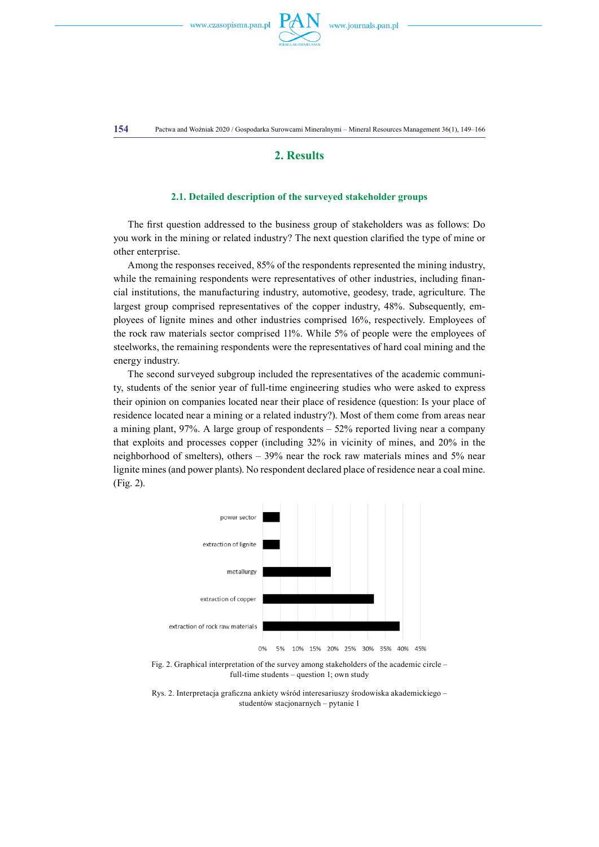

## **2. Results**

### **2.1. Detailed description of the surveyed stakeholder groups**

The first question addressed to the business group of stakeholders was as follows: Do you work in the mining or related industry? The next question clarified the type of mine or other enterprise.

Among the responses received, 85% of the respondents represented the mining industry, while the remaining respondents were representatives of other industries, including financial institutions, the manufacturing industry, automotive, geodesy, trade, agriculture. The largest group comprised representatives of the copper industry, 48%. Subsequently, employees of lignite mines and other industries comprised 16%, respectively. Employees of the rock raw materials sector comprised 11%. While 5% of people were the employees of steelworks, the remaining respondents were the representatives of hard coal mining and the energy industry.

The second surveyed subgroup included the representatives of the academic community, students of the senior year of full-time engineering studies who were asked to express their opinion on companies located near their place of residence (question: Is your place of residence located near a mining or a related industry?). Most of them come from areas near a mining plant,  $97\%$ . A large group of respondents  $-52\%$  reported living near a company that exploits and processes copper (including 32% in vicinity of mines, and 20% in the neighborhood of smelters), others – 39% near the rock raw materials mines and 5% near lignite mines (and power plants). No respondent declared place of residence near a coal mine. (Fig. 2).



Fig. 2. Graphical interpretation of the survey among stakeholders of the academic circle – full-time students – question 1; own study

Rys. 2. Interpretacja graficzna ankiety wśród interesariuszy środowiska akademickiego – studentów stacjonarnych – pytanie 1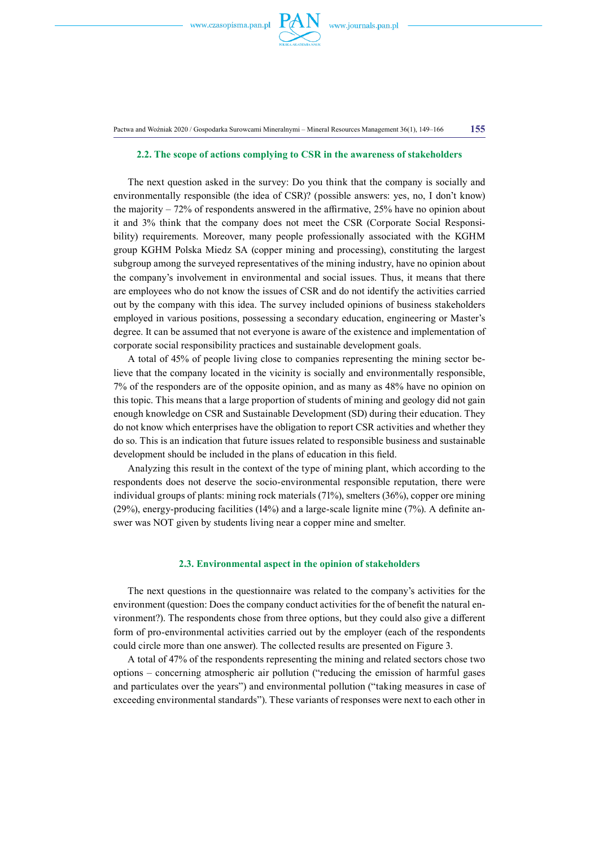

Pactwa and Woźniak 2020 / Gospodarka Surowcami Mineralnymi – Mineral Resources Management 36(1), 149–166 **155**

#### **2.2. The scope of actions complying to CSR in the awareness of stakeholders**

The next question asked in the survey: Do you think that the company is socially and environmentally responsible (the idea of CSR)? (possible answers: yes, no, I don't know) the majority – 72% of respondents answered in the affirmative, 25% have no opinion about it and 3% think that the company does not meet the CSR (Corporate Social Responsibility) requirements. Moreover, many people professionally associated with the KGHM group KGHM Polska Miedz SA (copper mining and processing), constituting the largest subgroup among the surveyed representatives of the mining industry, have no opinion about the company's involvement in environmental and social issues. Thus, it means that there are employees who do not know the issues of CSR and do not identify the activities carried out by the company with this idea. The survey included opinions of business stakeholders employed in various positions, possessing a secondary education, engineering or Master's degree. It can be assumed that not everyone is aware of the existence and implementation of corporate social responsibility practices and sustainable development goals.

A total of 45% of people living close to companies representing the mining sector believe that the company located in the vicinity is socially and environmentally responsible, 7% of the responders are of the opposite opinion, and as many as 48% have no opinion on this topic. This means that a large proportion of students of mining and geology did not gain enough knowledge on CSR and Sustainable Development (SD) during their education. They do not know which enterprises have the obligation to report CSR activities and whether they do so. This is an indication that future issues related to responsible business and sustainable development should be included in the plans of education in this field.

Analyzing this result in the context of the type of mining plant, which according to the respondents does not deserve the socio-environmental responsible reputation, there were individual groups of plants: mining rock materials (71%), smelters (36%), copper ore mining (29%), energy-producing facilities (14%) and a large-scale lignite mine (7%). A definite answer was NOT given by students living near a copper mine and smelter.

#### **2.3. Environmental aspect in the opinion of stakeholders**

The next questions in the questionnaire was related to the company's activities for the environment (question: Does the company conduct activities for the of benefit the natural environment?). The respondents chose from three options, but they could also give a different form of pro-environmental activities carried out by the employer (each of the respondents could circle more than one answer). The collected results are presented on Figure 3.

A total of 47% of the respondents representing the mining and related sectors chose two options – concerning atmospheric air pollution ("reducing the emission of harmful gases and particulates over the years") and environmental pollution ("taking measures in case of exceeding environmental standards"). These variants of responses were next to each other in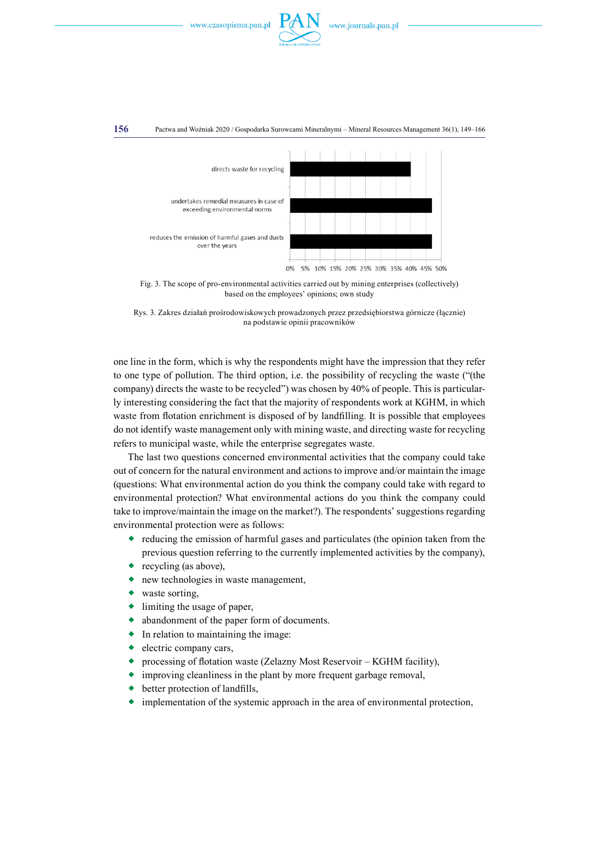



Fig. 3. The scope of pro-environmental activities carried out by mining enterprises (collectively) based on the employees' opinions; own study

Rys. 3. Zakres działań prośrodowiskowych prowadzonych przez przedsiębiorstwa górnicze (łącznie) na podstawie opinii pracowników

one line in the form, which is why the respondents might have the impression that they refer to one type of pollution. The third option, i.e. the possibility of recycling the waste ("(the company) directs the waste to be recycled") was chosen by 40% of people. This is particularly interesting considering the fact that the majority of respondents work at KGHM, in which waste from flotation enrichment is disposed of by landfilling. It is possible that employees do not identify waste management only with mining waste, and directing waste for recycling refers to municipal waste, while the enterprise segregates waste.

The last two questions concerned environmental activities that the company could take out of concern for the natural environment and actions to improve and/or maintain the image (questions: What environmental action do you think the company could take with regard to environmental protection? What environmental actions do you think the company could take to improve/maintain the image on the market?). The respondents' suggestions regarding environmental protection were as follows:

- $\bullet$  reducing the emission of harmful gases and particulates (the opinion taken from the previous question referring to the currently implemented activities by the company),
- recycling (as above),
- new technologies in waste management,
- waste sorting,
- limiting the usage of paper,
- abandonment of the paper form of documents.
- In relation to maintaining the image:
- electric company cars,
- processing of flotation waste (Zelazny Most Reservoir KGHM facility),
- improving cleanliness in the plant by more frequent garbage removal,
- ◆ better protection of landfills,
- $\bullet$  implementation of the systemic approach in the area of environmental protection,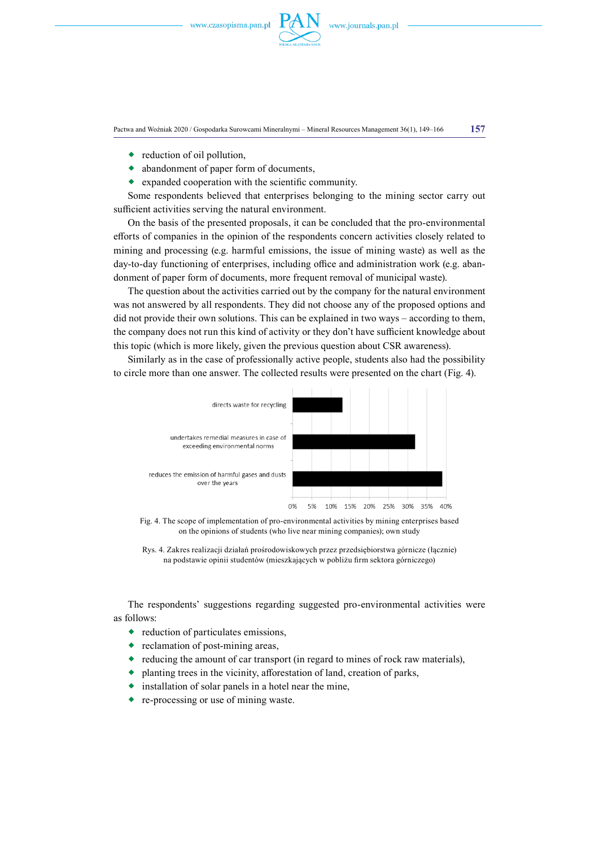

Pactwa and Woźniak 2020 / Gospodarka Surowcami Mineralnymi – Mineral Resources Management 36(1), 149–166 **157**

- reduction of oil pollution,
- abandonment of paper form of documents,
- $\bullet$  expanded cooperation with the scientific community.

Some respondents believed that enterprises belonging to the mining sector carry out sufficient activities serving the natural environment.

On the basis of the presented proposals, it can be concluded that the pro-environmental efforts of companies in the opinion of the respondents concern activities closely related to mining and processing (e.g. harmful emissions, the issue of mining waste) as well as the day-to-day functioning of enterprises, including office and administration work (e.g. abandonment of paper form of documents, more frequent removal of municipal waste).

The question about the activities carried out by the company for the natural environment was not answered by all respondents. They did not choose any of the proposed options and did not provide their own solutions. This can be explained in two ways – according to them, the company does not run this kind of activity or they don't have sufficient knowledge about this topic (which is more likely, given the previous question about CSR awareness).

Similarly as in the case of professionally active people, students also had the possibility to circle more than one answer. The collected results were presented on the chart (Fig. 4).



Fig. 4. The scope of implementation of pro-environmental activities by mining enterprises based on the opinions of students (who live near mining companies); own study

Rys. 4. Zakres realizacji działań prośrodowiskowych przez przedsiębiorstwa górnicze (łącznie) na podstawie opinii studentów (mieszkających w pobliżu firm sektora górniczego)

The respondents' suggestions regarding suggested pro-environmental activities were as follows:

- reduction of particulates emissions,
- reclamation of post-mining areas,
- reducing the amount of car transport (in regard to mines of rock raw materials),
- planting trees in the vicinity, afforestation of land, creation of parks,
- $\bullet$  installation of solar panels in a hotel near the mine,
- re-processing or use of mining waste.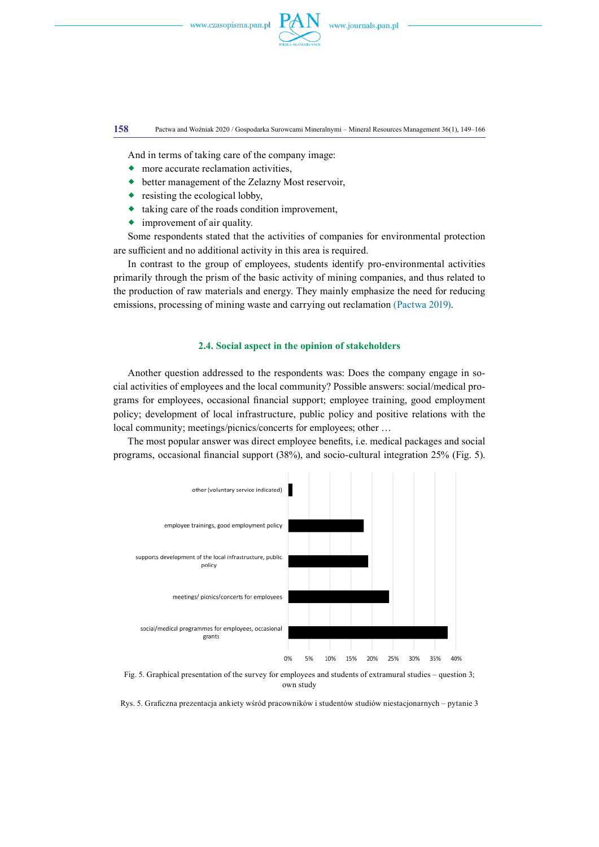

**158** Pactwa and Woźniak 2020 / Gospodarka Surowcami Mineralnymi – Mineral Resources Management 36(1), 149–166

And in terms of taking care of the company image:

- more accurate reclamation activities,
- better management of the Zelazny Most reservoir,
- resisting the ecological lobby,
- $\bullet$  taking care of the roads condition improvement,
- improvement of air quality.

Some respondents stated that the activities of companies for environmental protection are sufficient and no additional activity in this area is required.

In contrast to the group of employees, students identify pro-environmental activities primarily through the prism of the basic activity of mining companies, and thus related to the production of raw materials and energy. They mainly emphasize the need for reducing emissions, processing of mining waste and carrying out reclamation (Pactwa 2019).

# **2.4. Social aspect in the opinion of stakeholders**

Another question addressed to the respondents was: Does the company engage in social activities of employees and the local community? Possible answers: social/medical programs for employees, occasional financial support; employee training, good employment policy; development of local infrastructure, public policy and positive relations with the local community; meetings/picnics/concerts for employees; other …

The most popular answer was direct employee benefits, i.e. medical packages and social programs, occasional financial support (38%), and socio-cultural integration 25% (Fig. 5).



Fig. 5. Graphical presentation of the survey for employees and students of extramural studies – question 3; own study

Rys. 5. Graficzna prezentacja ankiety wśród pracowników i studentów studiów niestacjonarnych – pytanie 3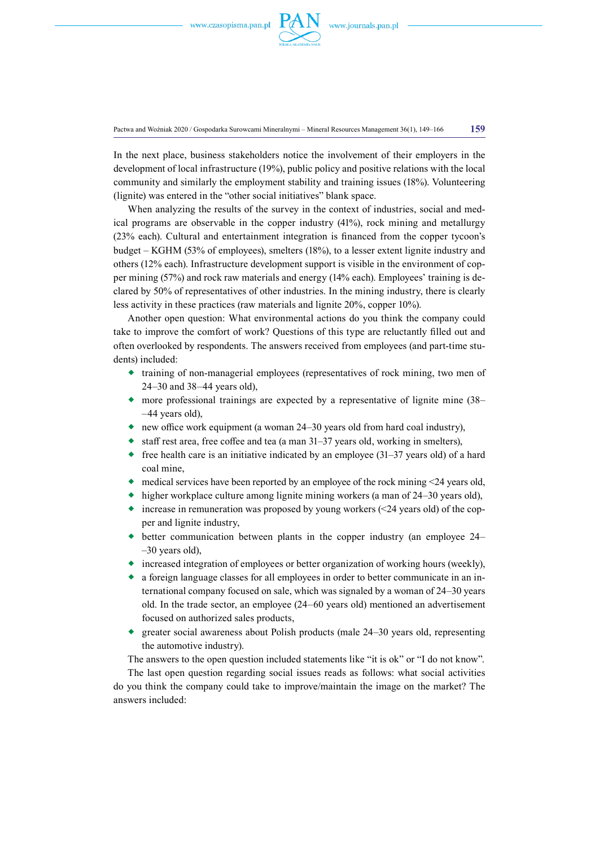

Pactwa and Woźniak 2020 / Gospodarka Surowcami Mineralnymi – Mineral Resources Management 36(1), 149–166 **159**

In the next place, business stakeholders notice the involvement of their employers in the development of local infrastructure (19%), public policy and positive relations with the local community and similarly the employment stability and training issues (18%). Volunteering (lignite) was entered in the "other social initiatives" blank space.

When analyzing the results of the survey in the context of industries, social and medical programs are observable in the copper industry (41%), rock mining and metallurgy (23% each). Cultural and entertainment integration is financed from the copper tycoon's budget – KGHM (53% of employees), smelters (18%), to a lesser extent lignite industry and others (12% each). Infrastructure development support is visible in the environment of copper mining (57%) and rock raw materials and energy (14% each). Employees' training is declared by 50% of representatives of other industries. In the mining industry, there is clearly less activity in these practices (raw materials and lignite 20%, copper 10%).

Another open question: What environmental actions do you think the company could take to improve the comfort of work? Questions of this type are reluctantly filled out and often overlooked by respondents. The answers received from employees (and part-time students) included:

- $\bullet$  training of non-managerial employees (representatives of rock mining, two men of 24–30 and 38–44 years old),
- more professional trainings are expected by a representative of lignite mine (38– –44 years old),
- new office work equipment (a woman 24–30 years old from hard coal industry),
- $\bullet$  staff rest area, free coffee and tea (a man 31–37 years old, working in smelters),
- $\bullet$  free health care is an initiative indicated by an employee (31–37 years old) of a hard coal mine,
- $\bullet$  medical services have been reported by an employee of the rock mining <24 years old,
- higher workplace culture among lignite mining workers (a man of 24–30 years old),
- increase in remuneration was proposed by young workers  $(\leq 24$  years old) of the copper and lignite industry,
- better communication between plants in the copper industry (an employee 24– –30 years old),
- increased integration of employees or better organization of working hours (weekly),
- a foreign language classes for all employees in order to better communicate in an international company focused on sale, which was signaled by a woman of 24–30 years old. In the trade sector, an employee (24–60 years old) mentioned an advertisement focused on authorized sales products,
- greater social awareness about Polish products (male 24–30 years old, representing the automotive industry).

The answers to the open question included statements like "it is ok" or "I do not know".

The last open question regarding social issues reads as follows: what social activities do you think the company could take to improve/maintain the image on the market? The answers included: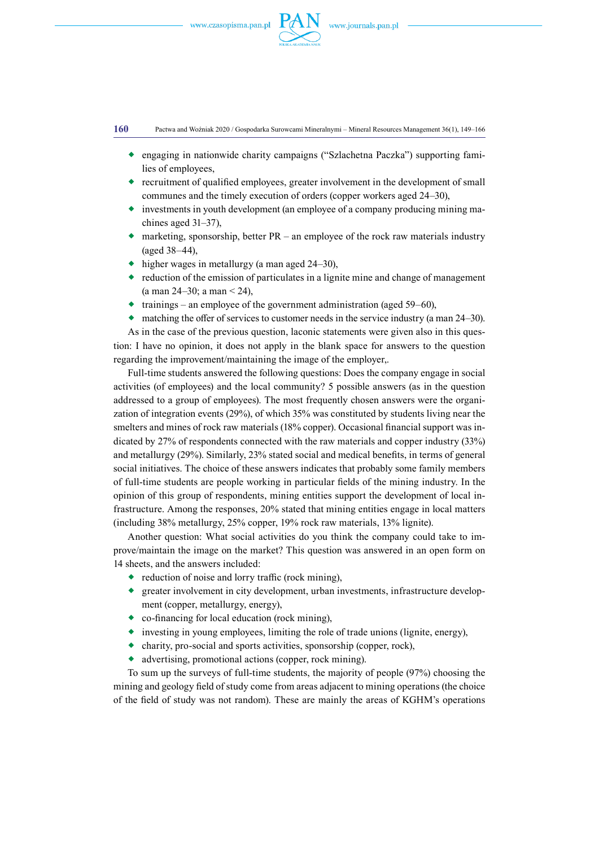

**160** Pactwa and Woźniak 2020 / Gospodarka Surowcami Mineralnymi – Mineral Resources Management 36(1), 149–166

- engaging in nationwide charity campaigns ("Szlachetna Paczka") supporting families of employees,
- $\bullet$  recruitment of qualified employees, greater involvement in the development of small communes and the timely execution of orders (copper workers aged 24–30),
- investments in youth development (an employee of a company producing mining machines aged 31–37),
- $\bullet$  marketing, sponsorship, better PR an employee of the rock raw materials industry (aged 38–44),
- $\leftrightarrow$  higher wages in metallurgy (a man aged 24–30),
- reduction of the emission of particulates in a lignite mine and change of management (a man  $24-30$ ; a man  $\leq 24$ ),
- trainings an employee of the government administration (aged 59–60).
- $\bullet$  matching the offer of services to customer needs in the service industry (a man 24–30).

As in the case of the previous question, laconic statements were given also in this question: I have no opinion, it does not apply in the blank space for answers to the question regarding the improvement/maintaining the image of the employer,.

Full-time students answered the following questions: Does the company engage in social activities (of employees) and the local community? 5 possible answers (as in the question addressed to a group of employees). The most frequently chosen answers were the organization of integration events (29%), of which 35% was constituted by students living near the smelters and mines of rock raw materials (18% copper). Occasional financial support was indicated by 27% of respondents connected with the raw materials and copper industry (33%) and metallurgy (29%). Similarly, 23% stated social and medical benefits, in terms of general social initiatives. The choice of these answers indicates that probably some family members of full-time students are people working in particular fields of the mining industry. In the opinion of this group of respondents, mining entities support the development of local infrastructure. Among the responses, 20% stated that mining entities engage in local matters (including 38% metallurgy, 25% copper, 19% rock raw materials, 13% lignite).

Another question: What social activities do you think the company could take to improve/maintain the image on the market? This question was answered in an open form on 14 sheets, and the answers included:

- reduction of noise and lorry traffic (rock mining),
- $\bullet$  greater involvement in city development, urban investments, infrastructure development (copper, metallurgy, energy),
- co-financing for local education (rock mining),
- $\bullet$  investing in young employees, limiting the role of trade unions (lignite, energy),
- $\bullet$  charity, pro-social and sports activities, sponsorship (copper, rock),
- advertising, promotional actions (copper, rock mining).

To sum up the surveys of full-time students, the majority of people (97%) choosing the mining and geology field of study come from areas adjacent to mining operations (the choice of the field of study was not random). These are mainly the areas of KGHM's operations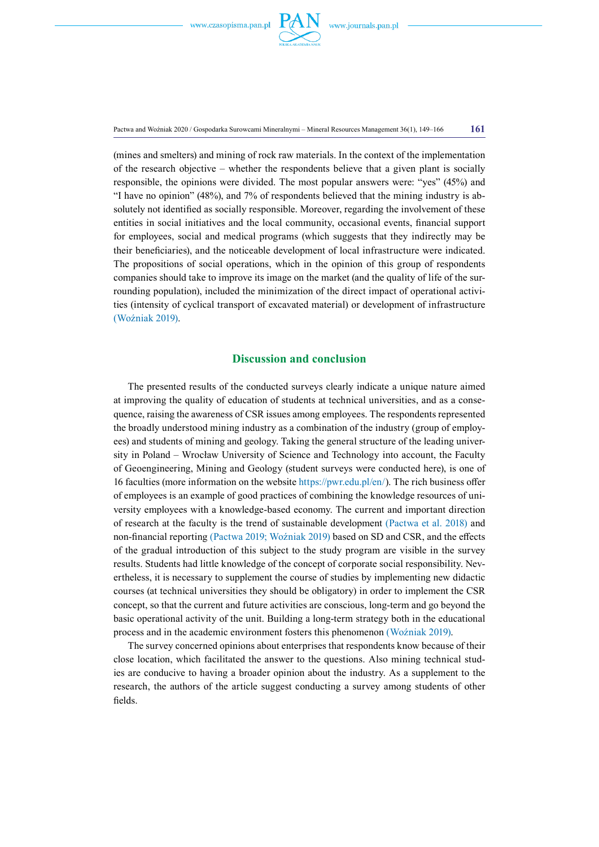

Pactwa and Woźniak 2020 / Gospodarka Surowcami Mineralnymi – Mineral Resources Management 36(1), 149–166 **161**

(mines and smelters) and mining of rock raw materials. In the context of the implementation of the research objective – whether the respondents believe that a given plant is socially responsible, the opinions were divided. The most popular answers were: "yes" (45%) and "I have no opinion" (48%), and 7% of respondents believed that the mining industry is absolutely not identified as socially responsible. Moreover, regarding the involvement of these entities in social initiatives and the local community, occasional events, financial support for employees, social and medical programs (which suggests that they indirectly may be their beneficiaries), and the noticeable development of local infrastructure were indicated. The propositions of social operations, which in the opinion of this group of respondents companies should take to improve its image on the market (and the quality of life of the surrounding population), included the minimization of the direct impact of operational activities (intensity of cyclical transport of excavated material) or development of infrastructure (Woźniak 2019).

# **Discussion and conclusion**

The presented results of the conducted surveys clearly indicate a unique nature aimed at improving the quality of education of students at technical universities, and as a consequence, raising the awareness of CSR issues among employees. The respondents represented the broadly understood mining industry as a combination of the industry (group of employees) and students of mining and geology. Taking the general structure of the leading university in Poland – Wrocław University of Science and Technology into account, the Faculty of Geoengineering, Mining and Geology (student surveys were conducted here), is one of 16 faculties (more information on the website<https://pwr.edu.pl/en/>). The rich business offer of employees is an example of good practices of combining the knowledge resources of university employees with a knowledge-based economy. The current and important direction of research at the faculty is the trend of sustainable development (Pactwa et al. 2018) and non-financial reporting (Pactwa 2019; Woźniak 2019) based on SD and CSR, and the effects of the gradual introduction of this subject to the study program are visible in the survey results. Students had little knowledge of the concept of corporate social responsibility. Nevertheless, it is necessary to supplement the course of studies by implementing new didactic courses (at technical universities they should be obligatory) in order to implement the CSR concept, so that the current and future activities are conscious, long-term and go beyond the basic operational activity of the unit. Building a long-term strategy both in the educational process and in the academic environment fosters this phenomenon (Woźniak 2019).

The survey concerned opinions about enterprises that respondents know because of their close location, which facilitated the answer to the questions. Also mining technical studies are conducive to having a broader opinion about the industry. As a supplement to the research, the authors of the article suggest conducting a survey among students of other fields.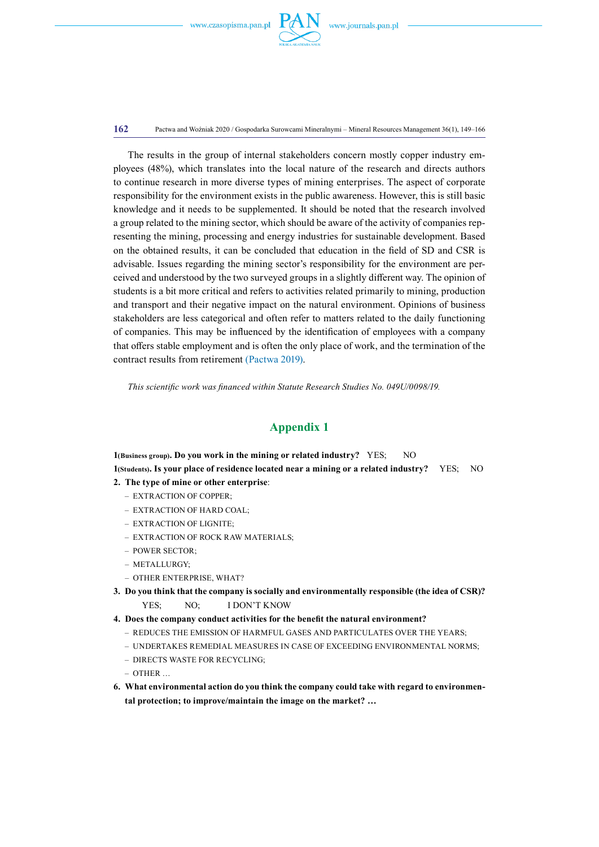

**162** Pactwa and Woźniak 2020 / Gospodarka Surowcami Mineralnymi – Mineral Resources Management 36(1), 149–166

The results in the group of internal stakeholders concern mostly copper industry employees (48%), which translates into the local nature of the research and directs authors to continue research in more diverse types of mining enterprises. The aspect of corporate responsibility for the environment exists in the public awareness. However, this is still basic knowledge and it needs to be supplemented. It should be noted that the research involved a group related to the mining sector, which should be aware of the activity of companies representing the mining, processing and energy industries for sustainable development. Based on the obtained results, it can be concluded that education in the field of SD and CSR is advisable. Issues regarding the mining sector's responsibility for the environment are perceived and understood by the two surveyed groups in a slightly different way. The opinion of students is a bit more critical and refers to activities related primarily to mining, production and transport and their negative impact on the natural environment. Opinions of business stakeholders are less categorical and often refer to matters related to the daily functioning of companies. This may be influenced by the identification of employees with a company that offers stable employment and is often the only place of work, and the termination of the contract results from retirement (Pactwa 2019).

*This scientific work was financed within Statute Research Studies No. 049U/0098/19.*

# **Appendix 1**

**1(Business group). Do you work in the mining or related industry?** YES;  $N<sub>O</sub>$ **1(Students). Is your place of residence located near a mining or a related industry?** YES; NO

- **2. The type of mine or other enterprise**:
	- EXTRACTION OF COPPER;
	- EXTRACTION OF HARD COAL;
	- EXTRACTION OF LIGNITE;
	- EXTRACTION OF ROCK RAW MATERIALS;
	- POWER SECTOR;
	- METALLURGY;
	- OTHER ENTERPRISE, WHAT?
- **3. Do you think that the company is socially and environmentally responsible (the idea of CSR)?**  YES: NO: I DON'T KNOW
- **4. Does the company conduct activities for the benefit the natural environment?**
	- REDUCES THE EMISSION OF HARMFUL GASES AND PARTICULATES OVER THE YEARS;
	- UNDERTAKES REMEDIAL MEASURES IN CASE OF EXCEEDING ENVIRONMENTAL NORMS;
	- DIRECTS WASTE FOR RECYCLING;
	- OTHER …
- **6. What environmental action do you think the company could take with regard to environmental protection; to improve/maintain the image on the market? …**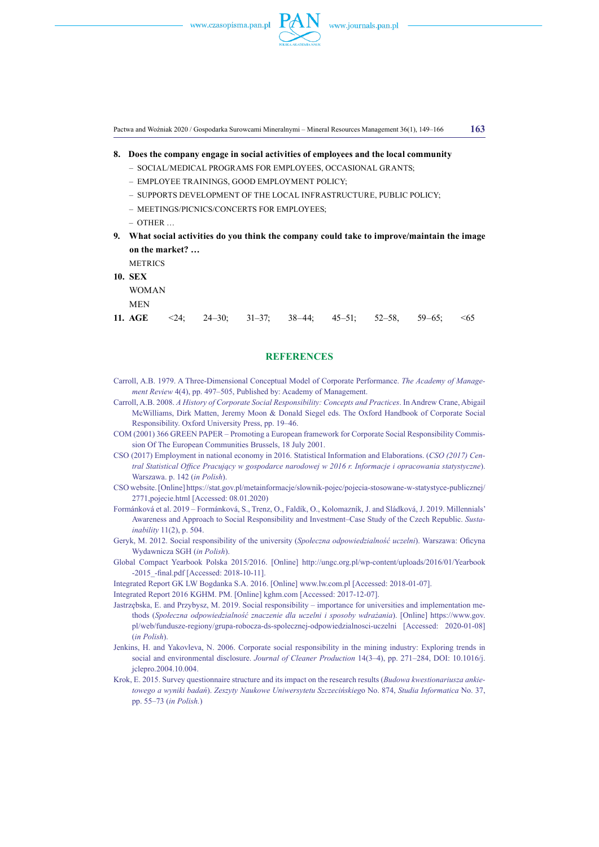

Pactwa and Woźniak 2020 / Gospodarka Surowcami Mineralnymi – Mineral Resources Management 36(1), 149–166 **163**

- **8.    Does the company engage in social activities of employees and the local community** 
	- SOCIAL/MEDICAL PROGRAMS FOR EMPLOYEES, OCCASIONAL GRANTS;
	- EMPLOYEE TRAININGS, GOOD EMPLOYMENT POLICY;
	- SUPPORTS DEVELOPMENT OF THE LOCAL INFRASTRUCTURE, PUBLIC POLICY;
	- MEETINGS/PICNICS/CONCERTS FOR EMPLOYEES;
	- OTHER …
- **9.     What social activities do you think the company could take to improve/maintain the image on the market? …**

**METRICS 10. SEX**

WOMAN

MEN

**11. AGE** <24; 24–30; 31–37; 38–44; 45–51; 52–58, 59–65; <65

### **REFERENCES**

- Carroll, A.B. 1979. A Three-Dimensional Conceptual Model of Corporate Performance. *The Academy of Management Review* 4(4), pp. 497–505, Published by: Academy of Management.
- Carroll, A.B. 2008. *A History of Corporate Social Responsibility: Concepts and Practices*. In Andrew Crane, Abigail McWilliams, Dirk Matten, Jeremy Moon & Donald Siegel eds. The Oxford Handbook of Corporate Social Responsibility. Oxford University Press, pp. 19–46.
- COM (2001) 366 GREEN PAPER Promoting a European framework for Corporate Social Responsibility Commission Of The European Communities Brussels, 18 July 2001.
- CSO (2017) Employment in national economy in 2016. Statistical Information and Elaborations. (*CSO (2017) Central Statistical Office Pracujący w gospodarce narodowej w 2016 r. Informacje i opracowania statystyczne*). Warszawa. p. 142 (*in Polish*).
- CSO website. [Online] [https://stat.gov.pl/metainformacje/slownik-pojec/pojecia-stosowane-w-statystyce-publicznej/](https://stat.gov.pl/metainformacje/slownik-pojec/pojecia-stosowane-w-statystyce-publicznej/2771,pojecie.html) [2771,pojecie.html](https://stat.gov.pl/metainformacje/slownik-pojec/pojecia-stosowane-w-statystyce-publicznej/2771,pojecie.html) [Accessed: 08.01.2020)
- Formánková et al. 2019 Formánková, S., Trenz, O., Faldík, O., Kolomazník, J. and Sládková, J. 2019. Millennials' Awareness and Approach to Social Responsibility and Investment–Case Study of the Czech Republic. *Sustainability* 11(2), p. 504.
- Geryk, M. 2012. Social responsibility of the university (*Społeczna odpowiedzialność uczelni*). Warszawa: Oficyna Wydawnicza SGH (*in Polish*).
- Global Compact Yearbook Polska 2015/2016. [Online] http://ungc.org.pl/wp-content/uploads/2016/01/Yearbook -2015\_-final.pdf [Accessed: 2018-10-11].
- Integrated Report GK LW Bogdanka S.A. 2016. [Online] www.lw.com.pl [Accessed: 2018-01-07].
- Integrated Report 2016 KGHM. PM. [Online] kghm.com [Accessed: 2017-12-07].
- Jastrzębska, E. and Przybysz, M. 2019. Social responsibility importance for universities and implementation methods (*Społeczna odpowiedzialność znaczenie dla uczelni i sposoby wdrażania*). [Online] https://www.gov. pl/web/fundusze-regiony/grupa-robocza-ds-spolecznej-odpowiedzialnosci-uczelni [Accessed: 2020-01-08] (*in Polish*).
- Jenkins, H. and Yakovleva, N. 2006. Corporate social responsibility in the mining industry: Exploring trends in social and environmental disclosure. *Journal of Cleaner Production* 14(3–4), pp. 271–284, DOI: 10.1016/j. jclepro.2004.10.004.
- Krok, E. 2015. Survey questionnaire structure and its impact on the research results (*Budowa kwestionariusza ankietowego a wyniki badań*). *Zeszyty Naukowe Uniwersytetu Szczecińskieg*o No. 874, *Studia Informatica* No. 37, pp. 55–73 (*in Polish.*)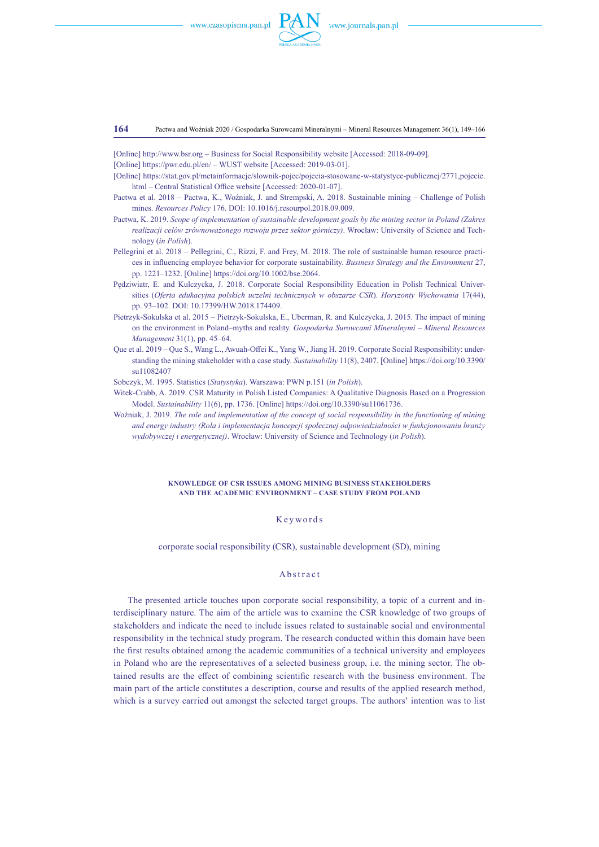

#### **164** Pactwa and Woźniak 2020 / Gospodarka Surowcami Mineralnymi – Mineral Resources Management 36(1), 149–166

[Online] http://www.bsr.org – Business for Social Responsibility website [Accessed: 2018-09-09].

- [Online] <https://pwr.edu.pl/en/> WUST website [Accessed: 2019-03-01].
- [Online] [https://stat.gov.pl/metainformacje/slownik-pojec/pojecia-stosowane-w-statystyce-publicznej/2771,pojecie.](https://stat.gov.pl/metainformacje/slownik-pojec/pojecia-stosowane-w-statystyce-publicznej/2771,pojecie.html) [html](https://stat.gov.pl/metainformacje/slownik-pojec/pojecia-stosowane-w-statystyce-publicznej/2771,pojecie.html) – Central Statistical Office website [Accessed: 2020-01-07].
- Pactwa et al. 2018 Pactwa, K., Woźniak, J. and Strempski, A. 2018. Sustainable mining Challenge of Polish mines. *Resources Policy* 176. DOI: 10.1016/j.resourpol.2018.09.009.
- Pactwa, K. 2019. *Scope of implementation of sustainable development goals by the mining sector in Poland (Zakres realizacji celów zrównoważonego rozwoju przez sektor górniczy)*. Wrocław: University of Science and Technology (*in Polish*).
- Pellegrini et al. 2018 Pellegrini, C., Rizzi, F. and Frey, M. 2018. The role of sustainable human resource practices in influencing employee behavior for corporate sustainability. *Business Strategy and the Environment* 27, pp. 1221–1232. [Online]<https://doi.org/10.1002/bse.2064>.
- Pędziwiatr, E. and Kulczycka, J. 2018. Corporate Social Responsibility Education in Polish Technical Universities (*Oferta edukacyjna polskich uczelni technicznych w obszarze CSR*). *Horyzonty Wychowania* 17(44), pp. 93–102. DOI: 10.17399/HW.2018.174409.
- Pietrzyk-Sokulska et al. 2015 Pietrzyk-Sokulska, E., Uberman, R. and Kulczycka, J. 2015. The impact of mining on the environment in Poland–myths and reality. *Gospodarka Surowcami Mineralnymi – Mineral Resources Management* 31(1), pp. 45–64.
- Que et al. 2019 Que S., Wang L., Awuah-Offei K., Yang W., Jiang H. 2019. Corporate Social Responsibility: understanding the mining stakeholder with a case study. *Sustainability* 11(8), 2407. [Online] https://doi.org/10.3390/ su11082407
- Sobczyk, M. 1995. Statistics (*Statystyka*). Warszawa: PWN p.151 (*in Polish*).
- Witek-Crabb, A. 2019. CSR Maturity in Polish Listed Companies: A Qualitative Diagnosis Based on a Progression Model. *Sustainability* 11(6), pp. 1736. [Online] https://doi.org/10.3390/su11061736.
- Woźniak, J. 2019. *The role and implementation of the concept of social responsibility in the functioning of mining and energy industry (Rola i implementacja koncepcji społecznej odpowiedzialności w funkcjonowaniu branży wydobywczej i energetycznej)*. Wrocław: University of Science and Technology (*in Polish*).

#### **Knowledge of CSR issues among mining business stakeholders and the academic environment – case study from Poland**

### Keywords

corporate social responsibility (CSR), sustainable development (SD), mining

### Abstract

The presented article touches upon corporate social responsibility, a topic of a current and interdisciplinary nature. The aim of the article was to examine the CSR knowledge of two groups of stakeholders and indicate the need to include issues related to sustainable social and environmental responsibility in the technical study program. The research conducted within this domain have been the first results obtained among the academic communities of a technical university and employees in Poland who are the representatives of a selected business group, i.e. the mining sector. The obtained results are the effect of combining scientific research with the business environment. The main part of the article constitutes a description, course and results of the applied research method, which is a survey carried out amongst the selected target groups. The authors' intention was to list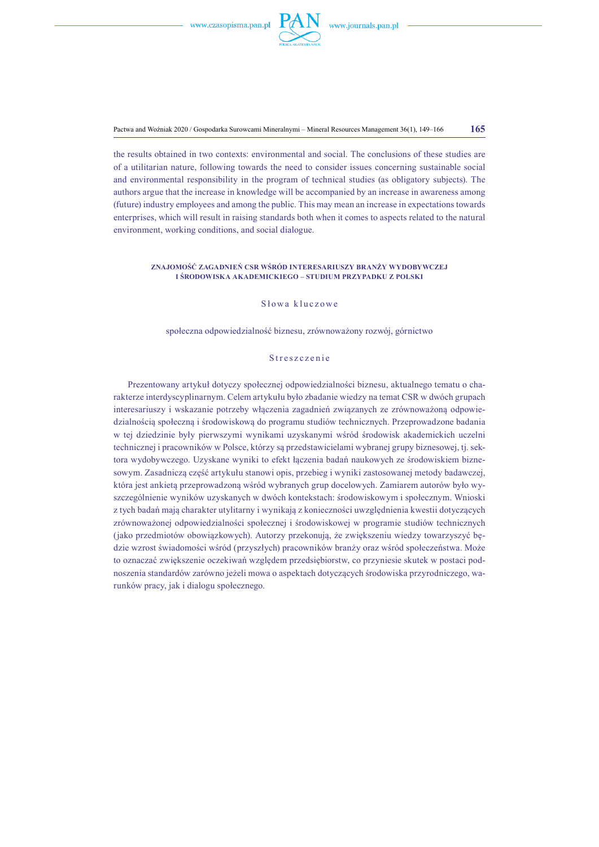

Pactwa and Woźniak 2020 / Gospodarka Surowcami Mineralnymi – Mineral Resources Management 36(1), 149–166 **165**

the results obtained in two contexts: environmental and social. The conclusions of these studies are of a utilitarian nature, following towards the need to consider issues concerning sustainable social and environmental responsibility in the program of technical studies (as obligatory subjects). The authors argue that the increase in knowledge will be accompanied by an increase in awareness among (future) industry employees and among the public. This may mean an increase in expectations towards enterprises, which will result in raising standards both when it comes to aspects related to the natural environment, working conditions, and social dialogue.

#### **Znajomość zagadnień CSR wśród interesariuszy branży wydobywczej i środowiska akademickiego – studium przypadku z Polski**

### S łowa kluczowe

społeczna odpowiedzialność biznesu, zrównoważony rozwój, górnictwo

### Streszczenie

Prezentowany artykuł dotyczy społecznej odpowiedzialności biznesu, aktualnego tematu o charakterze interdyscyplinarnym. Celem artykułu było zbadanie wiedzy na temat CSR w dwóch grupach interesariuszy i wskazanie potrzeby włączenia zagadnień związanych ze zrównoważoną odpowiedzialnością społeczną i środowiskową do programu studiów technicznych. Przeprowadzone badania w tej dziedzinie były pierwszymi wynikami uzyskanymi wśród środowisk akademickich uczelni technicznej i pracowników w Polsce, którzy są przedstawicielami wybranej grupy biznesowej, tj. sektora wydobywczego. Uzyskane wyniki to efekt łączenia badań naukowych ze środowiskiem biznesowym. Zasadniczą część artykułu stanowi opis, przebieg i wyniki zastosowanej metody badawczej, która jest ankietą przeprowadzoną wśród wybranych grup docelowych. Zamiarem autorów było wyszczególnienie wyników uzyskanych w dwóch kontekstach: środowiskowym i społecznym. Wnioski z tych badań mają charakter utylitarny i wynikają z konieczności uwzględnienia kwestii dotyczących zrównoważonej odpowiedzialności społecznej i środowiskowej w programie studiów technicznych (jako przedmiotów obowiązkowych). Autorzy przekonują, że zwiększeniu wiedzy towarzyszyć będzie wzrost świadomości wśród (przyszłych) pracowników branży oraz wśród społeczeństwa. Może to oznaczać zwiększenie oczekiwań względem przedsiębiorstw, co przyniesie skutek w postaci podnoszenia standardów zarówno jeżeli mowa o aspektach dotyczących środowiska przyrodniczego, warunków pracy, jak i dialogu społecznego.